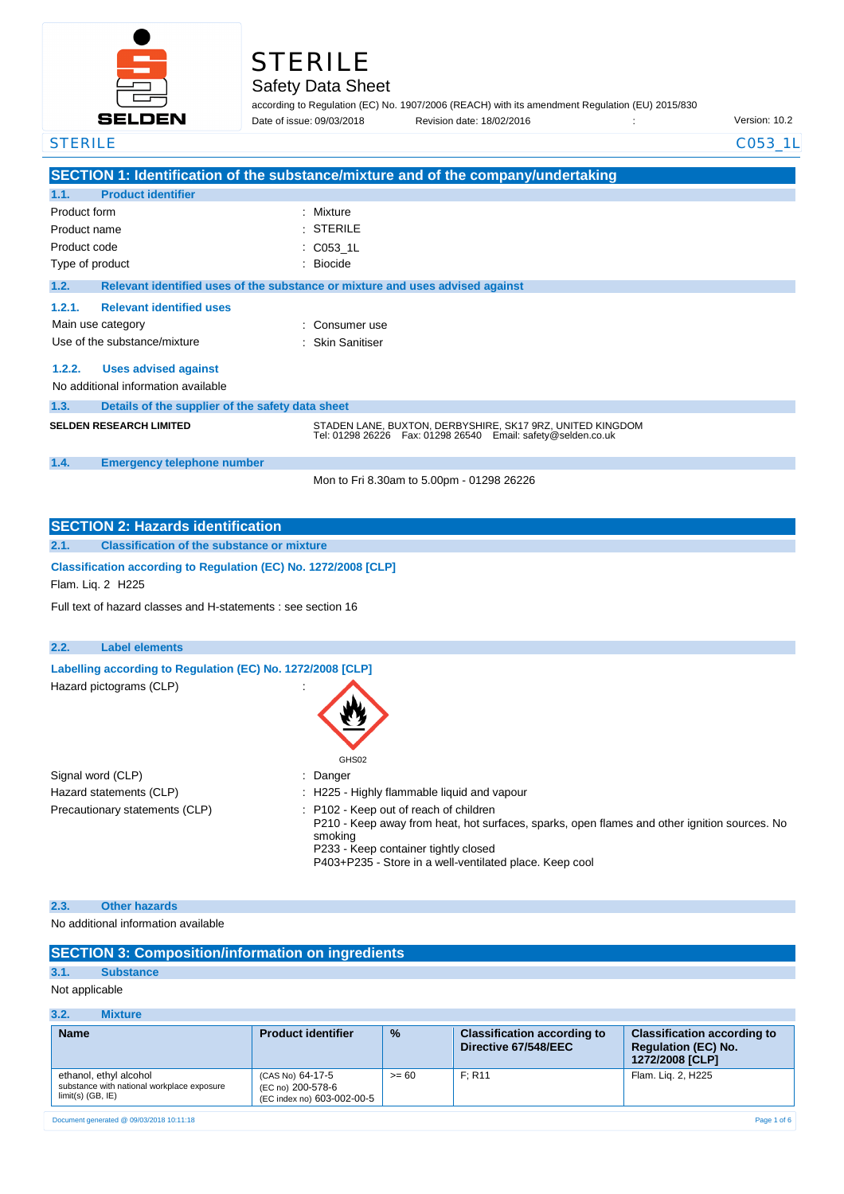

# STERILE

### Safety Data Sheet

according to Regulation (EC) No. 1907/2006 (REACH) with its amendment Regulation (EU) 2015/830 Physion date: 18/02/2016 : Charles of its version: 10.2 Date of issue: 09/03/2018

#### STERILE C053\_1L

|              |                                                  | SECTION 1: Identification of the substance/mixture and of the company/undertaking                                               |
|--------------|--------------------------------------------------|---------------------------------------------------------------------------------------------------------------------------------|
| 1.1.         | <b>Product identifier</b>                        |                                                                                                                                 |
| Product form |                                                  | Mixture<br>٠                                                                                                                    |
| Product name |                                                  | $:$ STERILE                                                                                                                     |
| Product code |                                                  | $\therefore$ C053 1L                                                                                                            |
|              | Type of product                                  | Biocide<br>÷                                                                                                                    |
| 1.2.         |                                                  | Relevant identified uses of the substance or mixture and uses advised against                                                   |
| 1.2.1.       | <b>Relevant identified uses</b>                  |                                                                                                                                 |
|              | Main use category                                | Consumer use                                                                                                                    |
|              | Use of the substance/mixture                     | : Skin Sanitiser                                                                                                                |
| 1.2.2.       | <b>Uses advised against</b>                      |                                                                                                                                 |
|              | No additional information available              |                                                                                                                                 |
| 1.3.         | Details of the supplier of the safety data sheet |                                                                                                                                 |
|              | <b>SELDEN RESEARCH LIMITED</b>                   | STADEN LANE, BUXTON, DERBYSHIRE, SK17 9RZ, UNITED KINGDOM<br>Tel: 01298 26226    Fax: 01298 26540    Email: safety@selden.co.uk |
| 1.4.         | <b>Emergency telephone number</b>                |                                                                                                                                 |
|              |                                                  | Mon to Fri 8.30am to 5.00pm - 01298 26226                                                                                       |

| <b>SECTION 2: Hazards identification</b>                                                       |                                                                                      |  |                                                                                                                                                   |  |  |  |
|------------------------------------------------------------------------------------------------|--------------------------------------------------------------------------------------|--|---------------------------------------------------------------------------------------------------------------------------------------------------|--|--|--|
| 2.1.                                                                                           | <b>Classification of the substance or mixture</b>                                    |  |                                                                                                                                                   |  |  |  |
|                                                                                                | Classification according to Regulation (EC) No. 1272/2008 [CLP]<br>Flam. Lig. 2 H225 |  |                                                                                                                                                   |  |  |  |
|                                                                                                | Full text of hazard classes and H-statements : see section 16                        |  |                                                                                                                                                   |  |  |  |
| 2.2.                                                                                           | <b>Label elements</b>                                                                |  |                                                                                                                                                   |  |  |  |
| Labelling according to Regulation (EC) No. 1272/2008 [CLP]<br>Hazard pictograms (CLP)<br>GHS02 |                                                                                      |  |                                                                                                                                                   |  |  |  |
|                                                                                                | Signal word (CLP)<br>: Danger                                                        |  |                                                                                                                                                   |  |  |  |
|                                                                                                | Hazard statements (CLP)<br>: H225 - Highly flammable liquid and vapour               |  |                                                                                                                                                   |  |  |  |
|                                                                                                | Precautionary statements (CLP)                                                       |  | : P102 - Keep out of reach of children<br>P210 - Keep away from heat, hot surfaces, sparks, open flames and other ignition sources. No<br>smoking |  |  |  |

P233 - Keep container tightly closed

P403+P235 - Store in a well-ventilated place. Keep cool

#### **2.3. Other hazards**

No additional information available

#### **SECTION 3: Composition/information on ingredients**

#### **3.1. Substance**

Not applicable

#### **3.2. Mixture**

| <b>Name</b>                                                                                 | <b>Product identifier</b>                                           | $\frac{9}{6}$ | <b>Classification according to</b><br>Directive 67/548/EEC | <b>Classification according to</b><br><b>Requlation (EC) No.</b><br>1272/2008 [CLP] |
|---------------------------------------------------------------------------------------------|---------------------------------------------------------------------|---------------|------------------------------------------------------------|-------------------------------------------------------------------------------------|
| ethanol, ethyl alcohol<br>substance with national workplace exposure<br>$limit(s)$ (GB, IE) | (CAS No) 64-17-5<br>(EC no) 200-578-6<br>(EC index no) 603-002-00-5 | $>= 60$       | F: R11                                                     | Flam. Lig. 2, H225                                                                  |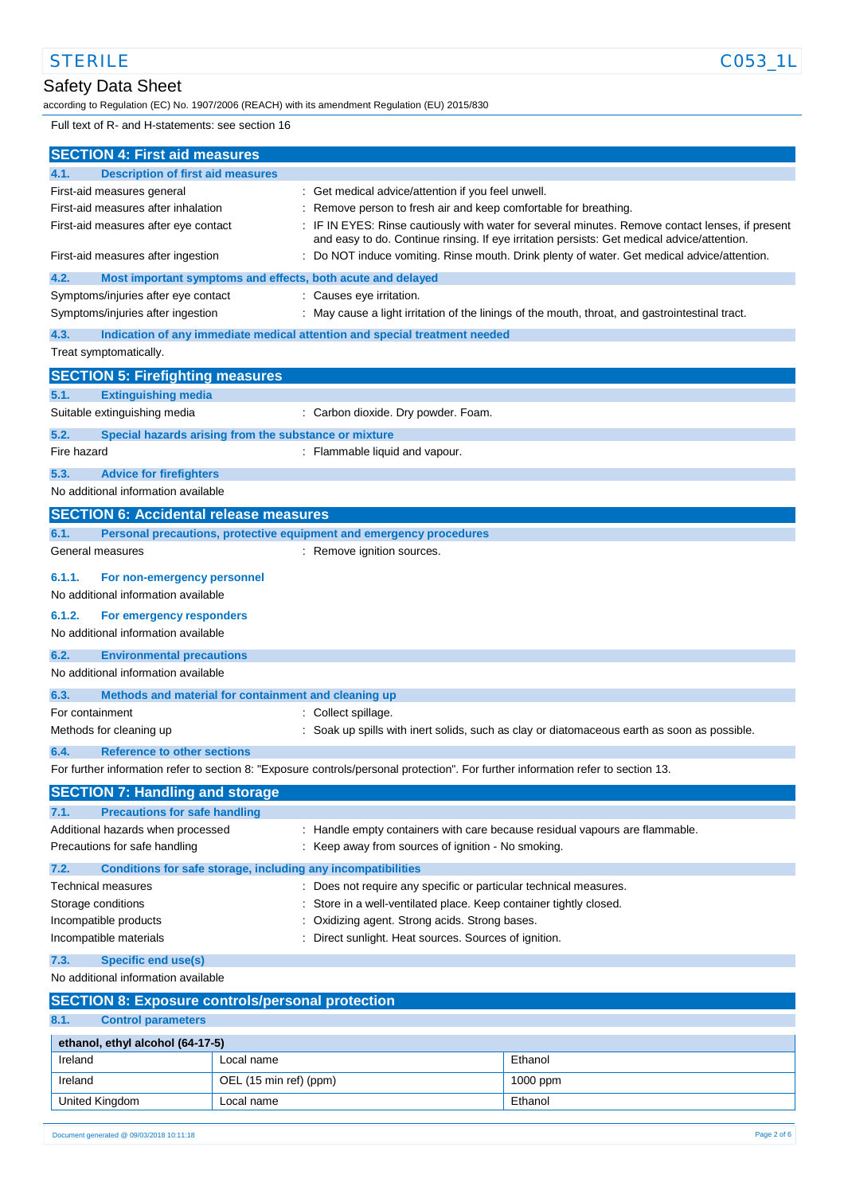### Safety Data Sheet

according to Regulation (EC) No. 1907/2006 (REACH) with its amendment Regulation (EU) 2015/830

Full text of R- and H-statements: see section 16

| <b>SECTION 4: First aid measures</b>                                          |                                                              |                                                                                                                                                                                               |  |  |
|-------------------------------------------------------------------------------|--------------------------------------------------------------|-----------------------------------------------------------------------------------------------------------------------------------------------------------------------------------------------|--|--|
| <b>Description of first aid measures</b><br>4.1.                              |                                                              |                                                                                                                                                                                               |  |  |
| First-aid measures general                                                    |                                                              | Get medical advice/attention if you feel unwell.                                                                                                                                              |  |  |
| First-aid measures after inhalation                                           |                                                              | Remove person to fresh air and keep comfortable for breathing.                                                                                                                                |  |  |
| First-aid measures after eye contact                                          |                                                              | IF IN EYES: Rinse cautiously with water for several minutes. Remove contact lenses, if present<br>and easy to do. Continue rinsing. If eye irritation persists: Get medical advice/attention. |  |  |
| First-aid measures after ingestion                                            |                                                              | Do NOT induce vomiting. Rinse mouth. Drink plenty of water. Get medical advice/attention.                                                                                                     |  |  |
| 4.2.                                                                          | Most important symptoms and effects, both acute and delayed  |                                                                                                                                                                                               |  |  |
| Symptoms/injuries after eye contact                                           |                                                              | : Causes eye irritation.                                                                                                                                                                      |  |  |
| Symptoms/injuries after ingestion                                             |                                                              | : May cause a light irritation of the linings of the mouth, throat, and gastrointestinal tract.                                                                                               |  |  |
| 4.3.<br>Treat symptomatically.                                                |                                                              | Indication of any immediate medical attention and special treatment needed                                                                                                                    |  |  |
|                                                                               |                                                              |                                                                                                                                                                                               |  |  |
| <b>SECTION 5: Firefighting measures</b>                                       |                                                              |                                                                                                                                                                                               |  |  |
| 5.1.<br><b>Extinguishing media</b>                                            |                                                              |                                                                                                                                                                                               |  |  |
| Suitable extinguishing media                                                  |                                                              | : Carbon dioxide. Dry powder. Foam.                                                                                                                                                           |  |  |
| 5.2.                                                                          | Special hazards arising from the substance or mixture        |                                                                                                                                                                                               |  |  |
| Fire hazard                                                                   |                                                              | : Flammable liquid and vapour.                                                                                                                                                                |  |  |
| 5.3.<br><b>Advice for firefighters</b>                                        |                                                              |                                                                                                                                                                                               |  |  |
| No additional information available                                           |                                                              |                                                                                                                                                                                               |  |  |
| <b>SECTION 6: Accidental release measures</b>                                 |                                                              |                                                                                                                                                                                               |  |  |
| 6.1.                                                                          |                                                              | Personal precautions, protective equipment and emergency procedures                                                                                                                           |  |  |
| General measures                                                              |                                                              | : Remove ignition sources.                                                                                                                                                                    |  |  |
| 6.1.1.<br>For non-emergency personnel                                         |                                                              |                                                                                                                                                                                               |  |  |
| No additional information available                                           |                                                              |                                                                                                                                                                                               |  |  |
| 6.1.2.<br>For emergency responders                                            |                                                              |                                                                                                                                                                                               |  |  |
| No additional information available                                           |                                                              |                                                                                                                                                                                               |  |  |
| 6.2.<br><b>Environmental precautions</b>                                      |                                                              |                                                                                                                                                                                               |  |  |
| No additional information available                                           |                                                              |                                                                                                                                                                                               |  |  |
| 6.3.                                                                          | Methods and material for containment and cleaning up         |                                                                                                                                                                                               |  |  |
| For containment                                                               | : Collect spillage.                                          |                                                                                                                                                                                               |  |  |
| Methods for cleaning up                                                       |                                                              | Soak up spills with inert solids, such as clay or diatomaceous earth as soon as possible.                                                                                                     |  |  |
| <b>Reference to other sections</b><br>6.4.                                    |                                                              |                                                                                                                                                                                               |  |  |
|                                                                               |                                                              | For further information refer to section 8: "Exposure controls/personal protection". For further information refer to section 13.                                                             |  |  |
| <b>SECTION 7: Handling and storage</b>                                        |                                                              |                                                                                                                                                                                               |  |  |
| <b>Precautions for safe handling</b><br>7.1.                                  |                                                              |                                                                                                                                                                                               |  |  |
| Additional hazards when processed                                             |                                                              | : Handle empty containers with care because residual vapours are flammable.                                                                                                                   |  |  |
| Precautions for safe handling                                                 |                                                              | : Keep away from sources of ignition - No smoking.                                                                                                                                            |  |  |
| 7.2.                                                                          | Conditions for safe storage, including any incompatibilities |                                                                                                                                                                                               |  |  |
| Technical measures                                                            |                                                              | : Does not require any specific or particular technical measures.                                                                                                                             |  |  |
| Storage conditions                                                            |                                                              | Store in a well-ventilated place. Keep container tightly closed.                                                                                                                              |  |  |
| Incompatible products                                                         |                                                              | Oxidizing agent. Strong acids. Strong bases.                                                                                                                                                  |  |  |
| Incompatible materials<br>Direct sunlight. Heat sources. Sources of ignition. |                                                              |                                                                                                                                                                                               |  |  |
| <b>Specific end use(s)</b><br>7.3.                                            |                                                              |                                                                                                                                                                                               |  |  |
| No additional information available                                           |                                                              |                                                                                                                                                                                               |  |  |
| <b>SECTION 8: Exposure controls/personal protection</b>                       |                                                              |                                                                                                                                                                                               |  |  |
| 8.1.<br><b>Control parameters</b>                                             |                                                              |                                                                                                                                                                                               |  |  |
| ethanol, ethyl alcohol (64-17-5)                                              |                                                              |                                                                                                                                                                                               |  |  |
| Ireland                                                                       | Local name                                                   | Ethanol                                                                                                                                                                                       |  |  |
| Ireland                                                                       | OEL (15 min ref) (ppm)                                       | 1000 ppm                                                                                                                                                                                      |  |  |

United Kingdom **Local name Local name Ethanol**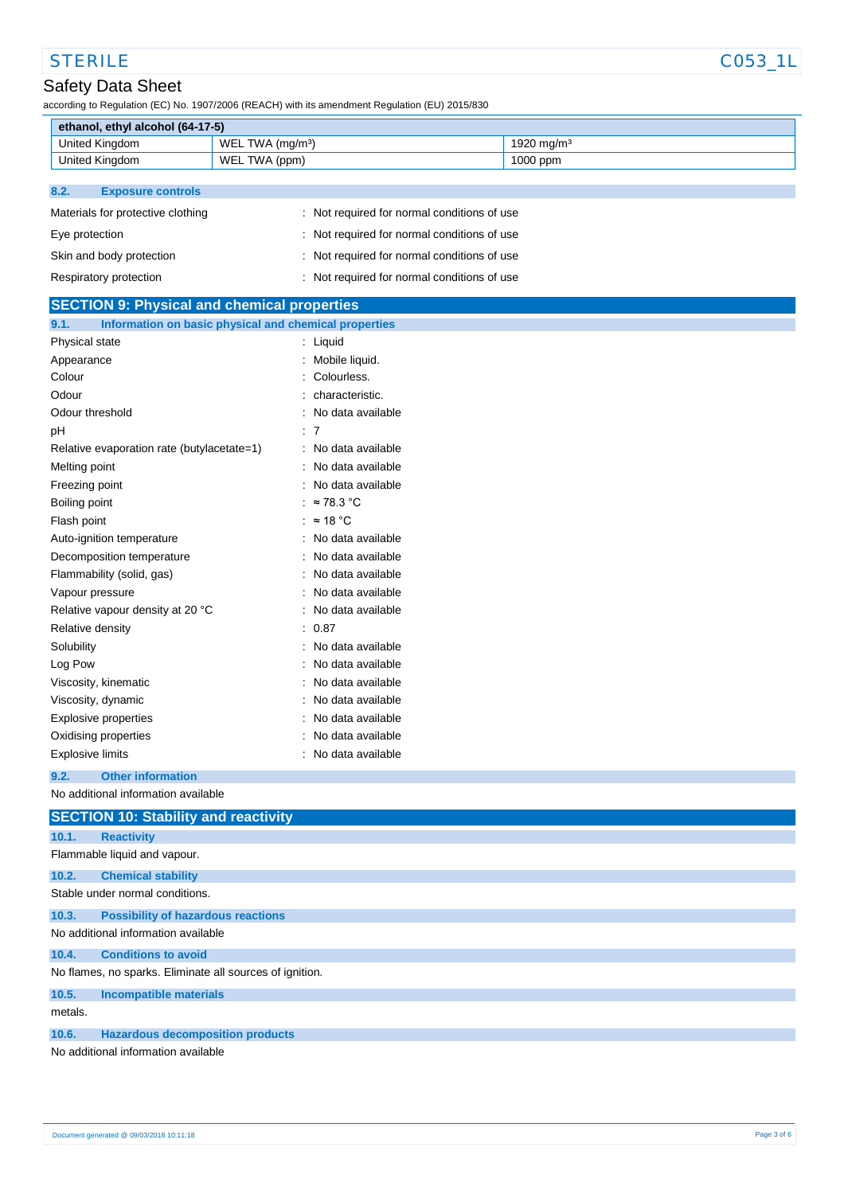# STERILE CO53\_1L

according to Regulation (EC) No. 1907/2006 (REACH) with its amendment Regulation (EU) 2015/830

| ethanol, ethyl alcohol (64-17-5) |                                    |            |  |  |
|----------------------------------|------------------------------------|------------|--|--|
| United Kingdom                   | `WEL<br>$TWA$ (ma/m <sup>3</sup> ) | 1920 ma/mª |  |  |
| United Kingdom                   | `WEL<br>TWA (ppm)                  | 1000 ppm   |  |  |

#### **8.2. Exposure controls**

| Materials for protective clothing | : Not required for normal conditions of use |
|-----------------------------------|---------------------------------------------|
| Eye protection                    | : Not required for normal conditions of use |
| Skin and body protection          | : Not required for normal conditions of use |
| Respiratory protection            | : Not required for normal conditions of use |

| <b>SECTION 9: Physical and chemical properties</b>            |                                 |  |  |  |
|---------------------------------------------------------------|---------------------------------|--|--|--|
| Information on basic physical and chemical properties<br>9.1. |                                 |  |  |  |
| Physical state                                                | : Liquid                        |  |  |  |
| Appearance                                                    | Mobile liquid.                  |  |  |  |
| Colour                                                        | Colourless.                     |  |  |  |
| Odour                                                         | characteristic.                 |  |  |  |
| Odour threshold                                               | No data available               |  |  |  |
| рH                                                            | : 7                             |  |  |  |
| Relative evaporation rate (butylacetate=1)                    | : No data available             |  |  |  |
| Melting point                                                 | No data available<br>÷.         |  |  |  |
| Freezing point                                                | No data available               |  |  |  |
| Boiling point                                                 | : $\approx 78.3$ °C             |  |  |  |
| Flash point                                                   | : $\approx$ 18 °C               |  |  |  |
| Auto-ignition temperature                                     | : No data available             |  |  |  |
| Decomposition temperature                                     | : No data available             |  |  |  |
| Flammability (solid, gas)                                     | No data available               |  |  |  |
| Vapour pressure                                               | No data available<br>÷          |  |  |  |
| Relative vapour density at 20 °C                              | No data available               |  |  |  |
| Relative density                                              | : 0.87                          |  |  |  |
| Solubility                                                    | No data available               |  |  |  |
| Log Pow                                                       | No data available               |  |  |  |
| Viscosity, kinematic                                          | No data available               |  |  |  |
| Viscosity, dynamic                                            | No data available               |  |  |  |
| Explosive properties                                          | No data available               |  |  |  |
| Oxidising properties                                          | No data available               |  |  |  |
| <b>Explosive limits</b>                                       | No data available               |  |  |  |
| <b>Other information</b><br>9.2.                              |                                 |  |  |  |
| No additional information available                           |                                 |  |  |  |
| <b>SECTION 10: Stability and reactivity</b>                   |                                 |  |  |  |
| <b>Reactivity</b><br>10.1.                                    |                                 |  |  |  |
| Flammable liquid and vapour.                                  |                                 |  |  |  |
| 10.2.<br><b>Chemical stability</b>                            |                                 |  |  |  |
|                                                               | Stable under normal conditions. |  |  |  |
| <b>Possibility of hazardous reactions</b><br>10.3.            |                                 |  |  |  |
| No additional information available                           |                                 |  |  |  |
| <b>Conditions to avoid</b><br>10.4.                           |                                 |  |  |  |
| No flames, no sparks. Eliminate all sources of ignition.      |                                 |  |  |  |
| 10.5.<br><b>Incompatible materials</b>                        |                                 |  |  |  |
| metals.                                                       |                                 |  |  |  |
| 10.6.<br><b>Hazardous decomposition products</b>              |                                 |  |  |  |
| No additional information available                           |                                 |  |  |  |
|                                                               |                                 |  |  |  |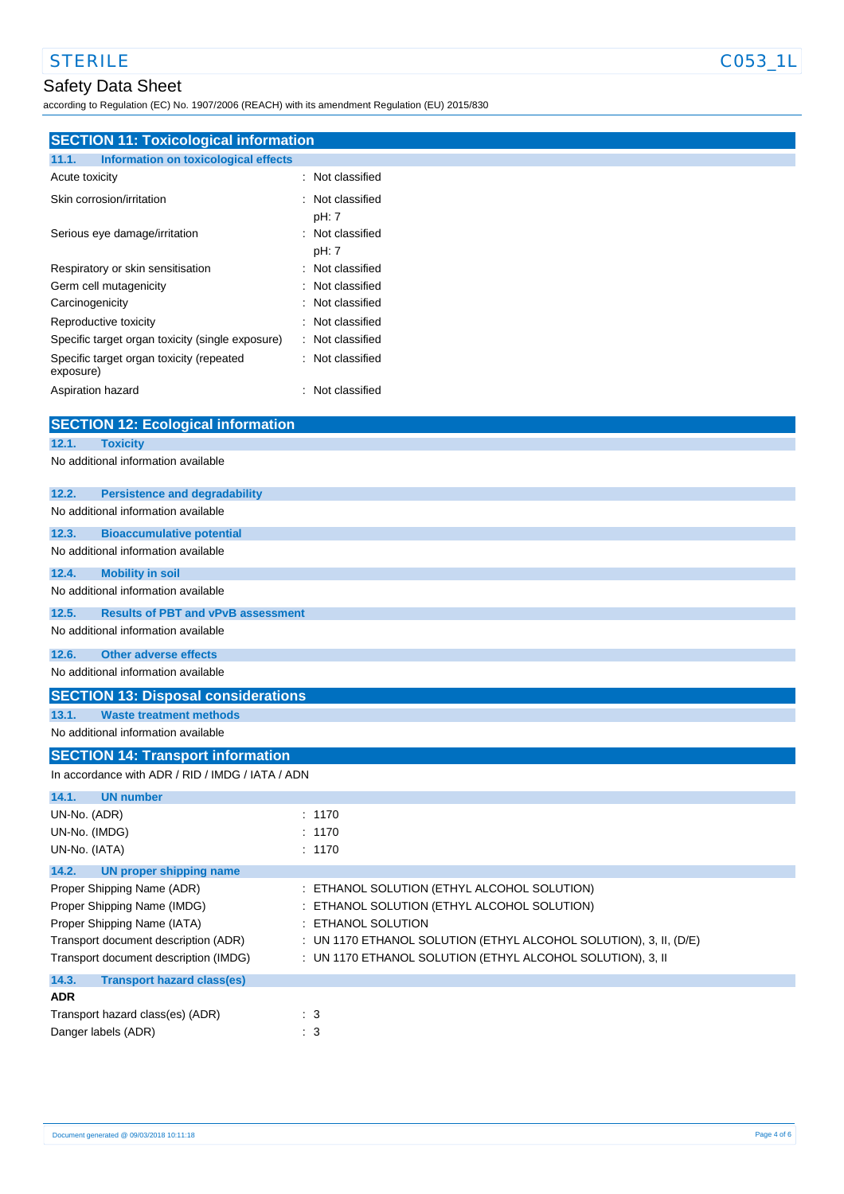### Safety Data Sheet

according to Regulation (EC) No. 1907/2006 (REACH) with its amendment Regulation (EU) 2015/830

| <b>SECTION 11: Toxicological information</b>          |                                                                   |  |  |  |  |
|-------------------------------------------------------|-------------------------------------------------------------------|--|--|--|--|
| Information on toxicological effects<br>11.1.         |                                                                   |  |  |  |  |
| Acute toxicity                                        | : Not classified                                                  |  |  |  |  |
|                                                       |                                                                   |  |  |  |  |
| Skin corrosion/irritation                             | Not classified                                                    |  |  |  |  |
|                                                       | pH: 7                                                             |  |  |  |  |
| Serious eye damage/irritation                         | Not classified<br>pH: 7                                           |  |  |  |  |
| Respiratory or skin sensitisation                     | Not classified                                                    |  |  |  |  |
| Germ cell mutagenicity                                | Not classified                                                    |  |  |  |  |
| Carcinogenicity                                       | Not classified                                                    |  |  |  |  |
| Reproductive toxicity                                 | Not classified                                                    |  |  |  |  |
| Specific target organ toxicity (single exposure)      | Not classified                                                    |  |  |  |  |
| Specific target organ toxicity (repeated<br>exposure) | Not classified                                                    |  |  |  |  |
| Aspiration hazard                                     | Not classified                                                    |  |  |  |  |
| <b>SECTION 12: Ecological information</b>             |                                                                   |  |  |  |  |
| 12.1.<br><b>Toxicity</b>                              |                                                                   |  |  |  |  |
| No additional information available                   |                                                                   |  |  |  |  |
| <b>Persistence and degradability</b><br>12.2.         |                                                                   |  |  |  |  |
| No additional information available                   |                                                                   |  |  |  |  |
| 12.3.<br><b>Bioaccumulative potential</b>             |                                                                   |  |  |  |  |
| No additional information available                   |                                                                   |  |  |  |  |
| <b>Mobility in soil</b><br>12.4.                      |                                                                   |  |  |  |  |
| No additional information available                   |                                                                   |  |  |  |  |
| 12.5.<br><b>Results of PBT and vPvB assessment</b>    |                                                                   |  |  |  |  |
| No additional information available                   |                                                                   |  |  |  |  |
|                                                       |                                                                   |  |  |  |  |
| <b>Other adverse effects</b><br>12.6.                 |                                                                   |  |  |  |  |
| No additional information available                   |                                                                   |  |  |  |  |
| <b>SECTION 13: Disposal considerations</b>            |                                                                   |  |  |  |  |
| <b>Waste treatment methods</b><br>13.1.               |                                                                   |  |  |  |  |
| No additional information available                   |                                                                   |  |  |  |  |
| <b>SECTION 14: Transport information</b>              |                                                                   |  |  |  |  |
| In accordance with ADR / RID / IMDG / IATA / ADN      |                                                                   |  |  |  |  |
| 14.1.<br><b>UN number</b>                             |                                                                   |  |  |  |  |
| UN-No. (ADR)                                          | : 1170                                                            |  |  |  |  |
| UN-No. (IMDG)                                         | : 1170                                                            |  |  |  |  |
| UN-No. (IATA)                                         | : 1170                                                            |  |  |  |  |
| 14.2.<br><b>UN proper shipping name</b>               |                                                                   |  |  |  |  |
| Proper Shipping Name (ADR)                            | : ETHANOL SOLUTION (ETHYL ALCOHOL SOLUTION)                       |  |  |  |  |
| Proper Shipping Name (IMDG)                           | ETHANOL SOLUTION (ETHYL ALCOHOL SOLUTION)                         |  |  |  |  |
| Proper Shipping Name (IATA)                           | <b>ETHANOL SOLUTION</b>                                           |  |  |  |  |
| Transport document description (ADR)                  | : UN 1170 ETHANOL SOLUTION (ETHYL ALCOHOL SOLUTION), 3, II, (D/E) |  |  |  |  |
| Transport document description (IMDG)                 | : UN 1170 ETHANOL SOLUTION (ETHYL ALCOHOL SOLUTION), 3, II        |  |  |  |  |
| 14.3.<br><b>Transport hazard class(es)</b>            |                                                                   |  |  |  |  |
| <b>ADR</b>                                            |                                                                   |  |  |  |  |
| Transport hazard class(es) (ADR)                      | $\therefore$ 3                                                    |  |  |  |  |
| Danger labels (ADR)                                   | : 3                                                               |  |  |  |  |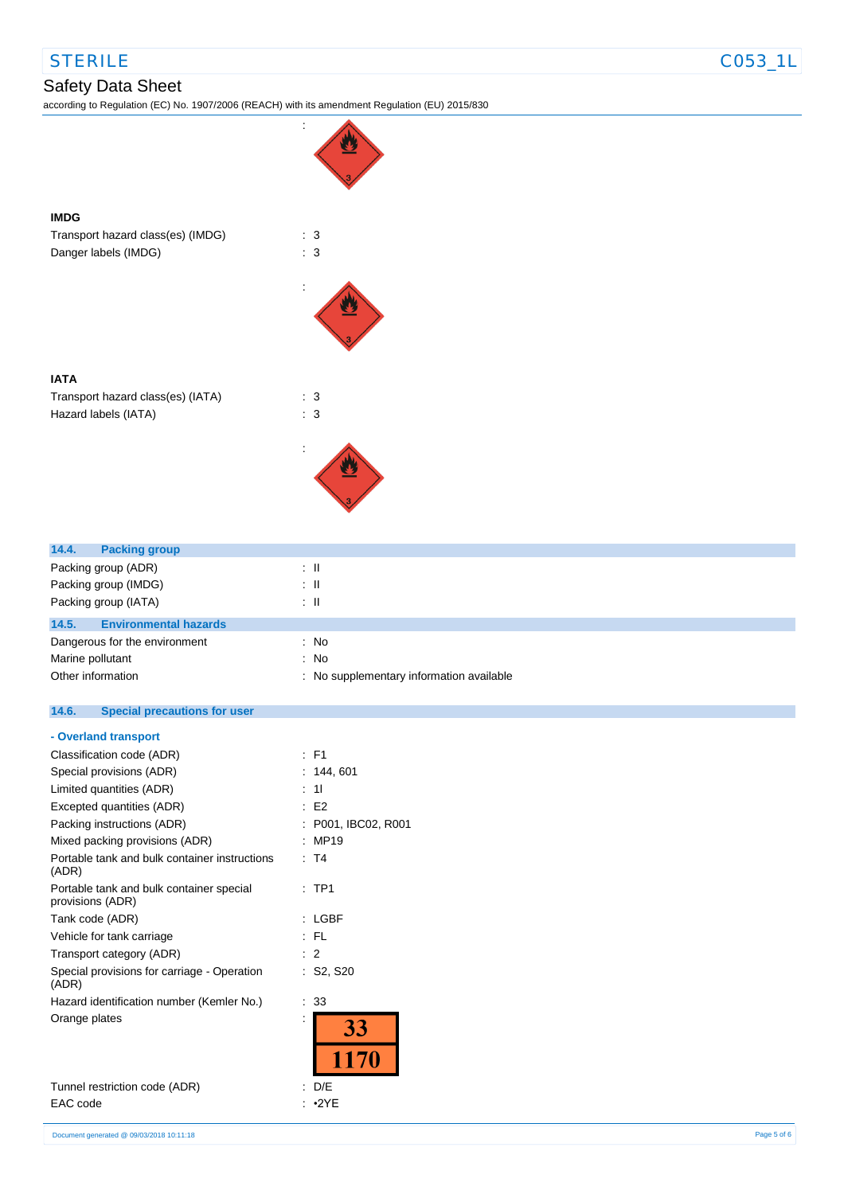## STERILE CO53\_1L

**IMDG**

### Safety Data Sheet

according to Regulation (EC) No. 1907/2006 (REACH) with its amendment Regulation (EU) 2015/830



| IATA                              |     |  |
|-----------------------------------|-----|--|
| Transport hazard class(es) (IATA) | : 3 |  |
| Hazard labels (IATA)              | : 3 |  |

| 14.4.<br><b>Packing group</b>         |                                          |
|---------------------------------------|------------------------------------------|
| Packing group (ADR)                   | : II                                     |
| Packing group (IMDG)                  | : IL                                     |
| Packing group (IATA)                  | : IL                                     |
| 14.5.<br><b>Environmental hazards</b> |                                          |
| Dangerous for the environment         | : No                                     |
| Marine pollutant                      | : No                                     |
| Other information                     | : No supplementary information available |

#### **14.6. Special precautions for user**

#### **- Overland transport**

| Classification code (ADR)                                    | : F1              |
|--------------------------------------------------------------|-------------------|
| Special provisions (ADR)                                     | 144, 601          |
| Limited quantities (ADR)                                     | 11                |
| Excepted quantities (ADR)                                    | E <sub>2</sub>    |
| Packing instructions (ADR)                                   | P001, IBC02, R001 |
| Mixed packing provisions (ADR)                               | MP19              |
| Portable tank and bulk container instructions<br>(ADR)       | : T4              |
| Portable tank and bulk container special<br>provisions (ADR) | TP <sub>1</sub>   |
| Tank code (ADR)                                              | LGBF              |
| Vehicle for tank carriage                                    | : FL              |
| Transport category (ADR)                                     | 2                 |
| Special provisions for carriage - Operation<br>(ADR)         | : S2, S20         |
| Hazard identification number (Kemler No.)                    | 33                |
| Orange plates                                                | 33<br>1170        |
| Tunnel restriction code (ADR)                                | D/E               |

EAC code : •2YE